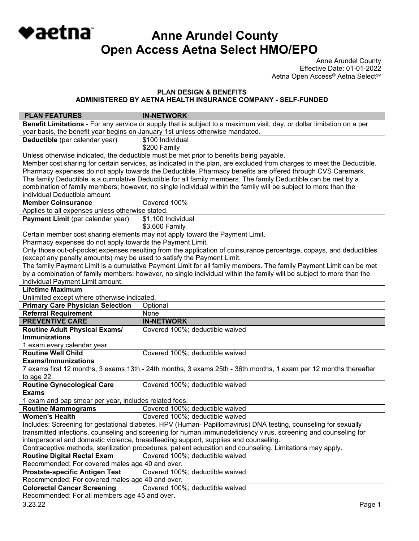**Anne Arundel County Open Access Aetna Select HMO/EPO**

Anne Arundel County Effective Date: 01-01-2022 Aetna Open Access® Aetna Select<sup>sM</sup>

### **PLAN DESIGN & BENEFITS**

◆aetna

**ADMINISTERED BY AETNA HEALTH INSURANCE COMPANY - SELF-FUNDED** 

| <b>PLAN FEATURES</b>                                                                                                  | <b>IN-NETWORK</b>                                                                                                      |  |
|-----------------------------------------------------------------------------------------------------------------------|------------------------------------------------------------------------------------------------------------------------|--|
|                                                                                                                       | Benefit Limitations - For any service or supply that is subject to a maximum visit, day, or dollar limitation on a per |  |
| year basis, the benefit year begins on January 1st unless otherwise mandated.                                         |                                                                                                                        |  |
| Deductible (per calendar year)                                                                                        | \$100 Individual                                                                                                       |  |
|                                                                                                                       | \$200 Family                                                                                                           |  |
|                                                                                                                       | Unless otherwise indicated, the deductible must be met prior to benefits being payable.                                |  |
| Member cost sharing for certain services, as indicated in the plan, are excluded from charges to meet the Deductible. |                                                                                                                        |  |
|                                                                                                                       | Pharmacy expenses do not apply towards the Deductible. Pharmacy benefits are offered through CVS Caremark.             |  |
|                                                                                                                       | The family Deductible is a cumulative Deductible for all family members. The family Deductible can be met by a         |  |
|                                                                                                                       | combination of family members; however, no single individual within the family will be subject to more than the        |  |
| individual Deductible amount.                                                                                         |                                                                                                                        |  |
| <b>Member Coinsurance</b>                                                                                             | Covered 100%                                                                                                           |  |
| Applies to all expenses unless otherwise stated.                                                                      |                                                                                                                        |  |
| Payment Limit (per calendar year)                                                                                     | \$1,100 Individual<br>\$3,600 Family                                                                                   |  |
|                                                                                                                       | Certain member cost sharing elements may not apply toward the Payment Limit.                                           |  |
| Pharmacy expenses do not apply towards the Payment Limit.                                                             |                                                                                                                        |  |
|                                                                                                                       | Only those out-of-pocket expenses resulting from the application of coinsurance percentage, copays, and deductibles    |  |
| (except any penalty amounts) may be used to satisfy the Payment Limit.                                                |                                                                                                                        |  |
|                                                                                                                       | The family Payment Limit is a cumulative Payment Limit for all family members. The family Payment Limit can be met     |  |
|                                                                                                                       | by a combination of family members; however, no single individual within the family will be subject to more than the   |  |
| individual Payment Limit amount.                                                                                      |                                                                                                                        |  |
| <b>Lifetime Maximum</b>                                                                                               |                                                                                                                        |  |
| Unlimited except where otherwise indicated.                                                                           |                                                                                                                        |  |
| <b>Primary Care Physician Selection</b>                                                                               | Optional                                                                                                               |  |
|                                                                                                                       |                                                                                                                        |  |
| <b>Referral Requirement</b>                                                                                           | None                                                                                                                   |  |
| <b>PREVENTIVE CARE</b>                                                                                                | <b>IN-NETWORK</b>                                                                                                      |  |
| <b>Routine Adult Physical Exams/</b>                                                                                  | Covered 100%; deductible waived                                                                                        |  |
| <b>Immunizations</b>                                                                                                  |                                                                                                                        |  |
| 1 exam every calendar year                                                                                            |                                                                                                                        |  |
| <b>Routine Well Child</b>                                                                                             | Covered 100%; deductible waived                                                                                        |  |
| <b>Exams/Immunizations</b>                                                                                            |                                                                                                                        |  |
|                                                                                                                       | 7 exams first 12 months, 3 exams 13th - 24th months, 3 exams 25th - 36th months, 1 exam per 12 months thereafter       |  |
| to age 22.                                                                                                            |                                                                                                                        |  |
| <b>Routine Gynecological Care</b>                                                                                     | Covered 100%; deductible waived                                                                                        |  |
| <b>Exams</b>                                                                                                          |                                                                                                                        |  |
| 1 exam and pap smear per year, includes related fees.                                                                 |                                                                                                                        |  |
| <b>Routine Mammograms</b>                                                                                             | Covered 100%; deductible waived                                                                                        |  |
| Women's Health                                                                                                        | Covered 100%; deductible waived                                                                                        |  |
|                                                                                                                       | Includes: Screening for gestational diabetes, HPV (Human- Papillomavirus) DNA testing, counseling for sexually         |  |
|                                                                                                                       | transmitted infections, counseling and screening for human immunodeficiency virus, screening and counseling for        |  |
|                                                                                                                       | interpersonal and domestic violence, breastfeeding support, supplies and counseling.                                   |  |
|                                                                                                                       | Contraceptive methods, sterilization procedures, patient education and counseling. Limitations may apply.              |  |
| <b>Routine Digital Rectal Exam</b>                                                                                    | Covered 100%; deductible waived                                                                                        |  |
| Recommended: For covered males age 40 and over.                                                                       |                                                                                                                        |  |
| <b>Prostate-specific Antigen Test</b>                                                                                 | Covered 100%; deductible waived                                                                                        |  |
| Recommended: For covered males age 40 and over.                                                                       |                                                                                                                        |  |
| <b>Colorectal Cancer Screening</b>                                                                                    | Covered 100%; deductible waived                                                                                        |  |
| Recommended: For all members age 45 and over.<br>3.23.22                                                              | Page 1                                                                                                                 |  |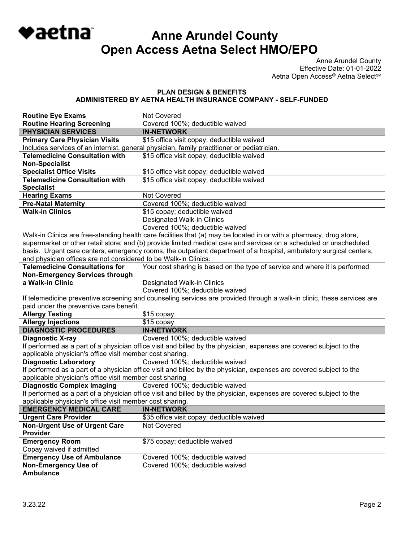# **Anne Arundel County Open Access Aetna Select HMO/EPO**

Anne Arundel County Effective Date: 01-01-2022 Aetna Open Access® Aetna Select<sup>sM</sup>

#### **PLAN DESIGN & BENEFITS ADMINISTERED BY AETNA HEALTH INSURANCE COMPANY - SELF-FUNDED**

| <b>Routine Eye Exams</b>                                        | <b>Not Covered</b>                                                                                                     |
|-----------------------------------------------------------------|------------------------------------------------------------------------------------------------------------------------|
| <b>Routine Hearing Screening</b>                                | Covered 100%; deductible waived                                                                                        |
| <b>PHYSICIAN SERVICES</b>                                       | <b>IN-NETWORK</b>                                                                                                      |
| <b>Primary Care Physician Visits</b>                            | \$15 office visit copay; deductible waived                                                                             |
|                                                                 | Includes services of an internist, general physician, family practitioner or pediatrician.                             |
| <b>Telemedicine Consultation with</b>                           | \$15 office visit copay; deductible waived                                                                             |
| <b>Non-Specialist</b>                                           |                                                                                                                        |
| <b>Specialist Office Visits</b>                                 | \$15 office visit copay; deductible waived                                                                             |
| <b>Telemedicine Consultation with</b>                           | \$15 office visit copay; deductible waived                                                                             |
| <b>Specialist</b>                                               |                                                                                                                        |
| <b>Hearing Exams</b>                                            | Not Covered                                                                                                            |
| <b>Pre-Natal Maternity</b>                                      | Covered 100%; deductible waived                                                                                        |
| <b>Walk-in Clinics</b>                                          | \$15 copay; deductible waived                                                                                          |
|                                                                 | Designated Walk-in Clinics                                                                                             |
|                                                                 | Covered 100%; deductible waived                                                                                        |
|                                                                 | Walk-in Clinics are free-standing health care facilities that (a) may be located in or with a pharmacy, drug store,    |
|                                                                 | supermarket or other retail store; and (b) provide limited medical care and services on a scheduled or unscheduled     |
|                                                                 | basis. Urgent care centers, emergency rooms, the outpatient department of a hospital, ambulatory surgical centers,     |
| and physician offices are not considered to be Walk-in Clinics. |                                                                                                                        |
| <b>Telemedicine Consultations for</b>                           | Your cost sharing is based on the type of service and where it is performed                                            |
| <b>Non-Emergency Services through</b>                           |                                                                                                                        |
| a Walk-in Clinic                                                | Designated Walk-in Clinics                                                                                             |
|                                                                 | Covered 100%; deductible waived                                                                                        |
|                                                                 | If telemedicine preventive screening and counseling services are provided through a walk-in clinic, these services are |
| paid under the preventive care benefit.                         |                                                                                                                        |
| <b>Allergy Testing</b>                                          | \$15 copay                                                                                                             |
| <b>Allergy Injections</b>                                       | \$15 copay                                                                                                             |
| <b>DIAGNOSTIC PROCEDURES</b>                                    |                                                                                                                        |
|                                                                 | <b>IN-NETWORK</b>                                                                                                      |
| <b>Diagnostic X-ray</b>                                         | Covered 100%; deductible waived                                                                                        |
|                                                                 | If performed as a part of a physician office visit and billed by the physician, expenses are covered subject to the    |
| applicable physician's office visit member cost sharing.        |                                                                                                                        |
| <b>Diagnostic Laboratory</b>                                    | Covered 100%; deductible waived                                                                                        |
|                                                                 | If performed as a part of a physician office visit and billed by the physician, expenses are covered subject to the    |
| applicable physician's office visit member cost sharing         |                                                                                                                        |
| <b>Diagnostic Complex Imaging</b>                               | Covered 100%; deductible waived                                                                                        |
|                                                                 | If performed as a part of a physician office visit and billed by the physician, expenses are covered subject to the    |
| applicable physician's office visit member cost sharing.        |                                                                                                                        |
| <b>EMERGENCY MEDICAL CARE</b>                                   | <b>IN-NETWORK</b>                                                                                                      |
| <b>Urgent Care Provider</b>                                     | \$35 office visit copay; deductible waived                                                                             |
| <b>Non-Urgent Use of Urgent Care</b>                            | Not Covered                                                                                                            |
| Provider                                                        |                                                                                                                        |
| <b>Emergency Room</b>                                           | \$75 copay; deductible waived                                                                                          |
| Copay waived if admitted                                        |                                                                                                                        |
| <b>Emergency Use of Ambulance</b>                               | Covered 100%; deductible waived                                                                                        |
| Non-Emergency Use of<br><b>Ambulance</b>                        | Covered 100%; deductible waived                                                                                        |

◆aetna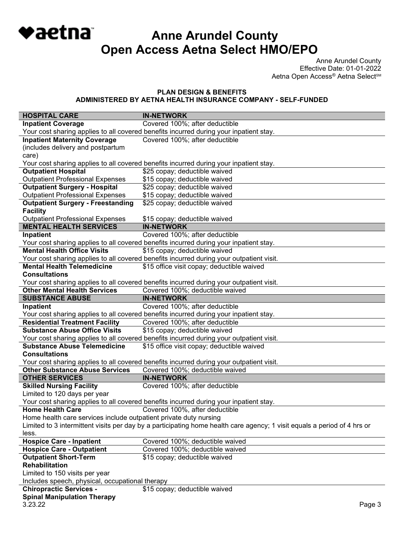**Anne Arundel County Open Access Aetna Select HMO/EPO**

◆aetna

Anne Arundel County Effective Date: 01-01-2022 Aetna Open Access® Aetna Select<sup>sM</sup>

#### **PLAN DESIGN & BENEFITS ADMINISTERED BY AETNA HEALTH INSURANCE COMPANY - SELF-FUNDED**

| <b>HOSPITAL CARE</b>                                              | <b>IN-NETWORK</b>                                                                                                        |
|-------------------------------------------------------------------|--------------------------------------------------------------------------------------------------------------------------|
| <b>Inpatient Coverage</b>                                         | Covered 100%; after deductible                                                                                           |
|                                                                   | Your cost sharing applies to all covered benefits incurred during your inpatient stay.                                   |
| <b>Inpatient Maternity Coverage</b>                               | Covered 100%; after deductible                                                                                           |
| (includes delivery and postpartum                                 |                                                                                                                          |
| care)                                                             |                                                                                                                          |
|                                                                   | Your cost sharing applies to all covered benefits incurred during your inpatient stay.                                   |
| <b>Outpatient Hospital</b>                                        | \$25 copay; deductible waived                                                                                            |
| <b>Outpatient Professional Expenses</b>                           | \$15 copay; deductible waived                                                                                            |
| <b>Outpatient Surgery - Hospital</b>                              | \$25 copay; deductible waived                                                                                            |
| <b>Outpatient Professional Expenses</b>                           | \$15 copay; deductible waived                                                                                            |
| <b>Outpatient Surgery - Freestanding</b>                          | \$25 copay; deductible waived                                                                                            |
| <b>Facility</b>                                                   |                                                                                                                          |
| <b>Outpatient Professional Expenses</b>                           | \$15 copay; deductible waived                                                                                            |
| <b>MENTAL HEALTH SERVICES</b>                                     | <b>IN-NETWORK</b>                                                                                                        |
| Inpatient                                                         | Covered 100%; after deductible                                                                                           |
|                                                                   | Your cost sharing applies to all covered benefits incurred during your inpatient stay.                                   |
| <b>Mental Health Office Visits</b>                                | \$15 copay; deductible waived                                                                                            |
|                                                                   | Your cost sharing applies to all covered benefits incurred during your outpatient visit.                                 |
| <b>Mental Health Telemedicine</b>                                 | \$15 office visit copay; deductible waived                                                                               |
| <b>Consultations</b>                                              |                                                                                                                          |
| <b>Other Mental Health Services</b>                               | Your cost sharing applies to all covered benefits incurred during your outpatient visit.                                 |
| <b>SUBSTANCE ABUSE</b>                                            | Covered 100%; deductible waived<br><b>IN-NETWORK</b>                                                                     |
|                                                                   | Covered 100%; after deductible                                                                                           |
| Inpatient                                                         |                                                                                                                          |
| <b>Residential Treatment Facility</b>                             | Your cost sharing applies to all covered benefits incurred during your inpatient stay.<br>Covered 100%; after deductible |
| <b>Substance Abuse Office Visits</b>                              | \$15 copay; deductible waived                                                                                            |
|                                                                   | Your cost sharing applies to all covered benefits incurred during your outpatient visit.                                 |
| <b>Substance Abuse Telemedicine</b>                               | \$15 office visit copay; deductible waived                                                                               |
| <b>Consultations</b>                                              |                                                                                                                          |
|                                                                   | Your cost sharing applies to all covered benefits incurred during your outpatient visit.                                 |
| <b>Other Substance Abuse Services</b>                             | Covered 100%; deductible waived                                                                                          |
| <b>OTHER SERVICES</b>                                             | <b>IN-NETWORK</b>                                                                                                        |
| <b>Skilled Nursing Facility</b>                                   | Covered 100%; after deductible                                                                                           |
| Limited to 120 days per year                                      |                                                                                                                          |
|                                                                   | Your cost sharing applies to all covered benefits incurred during your inpatient stay.                                   |
| <b>Home Health Care</b>                                           | Covered 100%, after deductible                                                                                           |
| Home health care services include outpatient private duty nursing |                                                                                                                          |
|                                                                   | Limited to 3 intermittent visits per day by a participating home health care agency; 1 visit equals a period of 4 hrs or |
| less.                                                             |                                                                                                                          |
| <b>Hospice Care - Inpatient</b>                                   | Covered 100%; deductible waived                                                                                          |
| <b>Hospice Care - Outpatient</b>                                  | Covered 100%; deductible waived                                                                                          |
| <b>Outpatient Short-Term</b>                                      | \$15 copay; deductible waived                                                                                            |
| <b>Rehabilitation</b>                                             |                                                                                                                          |
| Limited to 150 visits per year                                    |                                                                                                                          |
| Includes speech, physical, occupational therapy                   |                                                                                                                          |
| <b>Chiropractic Services -</b>                                    | \$15 copay; deductible waived                                                                                            |
| <b>Spinal Manipulation Therapy</b>                                |                                                                                                                          |
| 3.23.22                                                           | Page 3                                                                                                                   |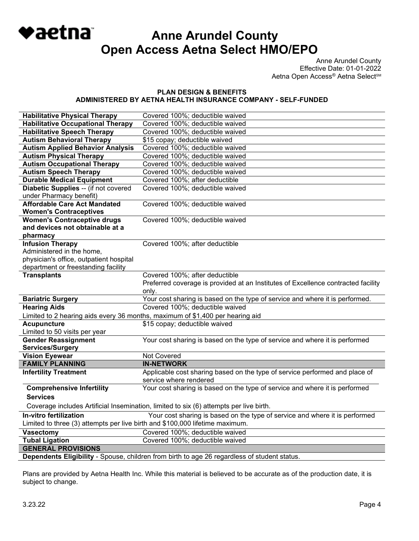

Anne Arundel County Effective Date: 01-01-2022 Aetna Open Access<sup>®</sup> Aetna Select<sup>sM</sup>

#### **PLAN DESIGN & BENEFITS ADMINISTERED BY AETNA HEALTH INSURANCE COMPANY - SELF-FUNDED**

| <b>Habilitative Physical Therapy</b>                                                         | Covered 100%; deductible waived                                                   |  |
|----------------------------------------------------------------------------------------------|-----------------------------------------------------------------------------------|--|
| <b>Habilitative Occupational Therapy</b>                                                     | Covered 100%; deductible waived                                                   |  |
| <b>Habilitative Speech Therapy</b>                                                           | Covered 100%; deductible waived                                                   |  |
| <b>Autism Behavioral Therapy</b>                                                             | \$15 copay; deductible waived                                                     |  |
| <b>Autism Applied Behavior Analysis</b>                                                      | Covered 100%; deductible waived                                                   |  |
| <b>Autism Physical Therapy</b>                                                               | Covered 100%; deductible waived                                                   |  |
| <b>Autism Occupational Therapy</b>                                                           | Covered 100%; deductible waived                                                   |  |
| <b>Autism Speech Therapy</b>                                                                 | Covered 100%; deductible waived                                                   |  |
| <b>Durable Medical Equipment</b>                                                             | Covered 100%; after deductible                                                    |  |
| Diabetic Supplies -- (if not covered                                                         | Covered 100%; deductible waived                                                   |  |
| under Pharmacy benefit)                                                                      |                                                                                   |  |
| <b>Affordable Care Act Mandated</b>                                                          | Covered 100%; deductible waived                                                   |  |
| <b>Women's Contraceptives</b>                                                                |                                                                                   |  |
| <b>Women's Contraceptive drugs</b>                                                           | Covered 100%; deductible waived                                                   |  |
| and devices not obtainable at a                                                              |                                                                                   |  |
| pharmacy                                                                                     |                                                                                   |  |
| <b>Infusion Therapy</b>                                                                      | Covered 100%; after deductible                                                    |  |
| Administered in the home,                                                                    |                                                                                   |  |
| physician's office, outpatient hospital                                                      |                                                                                   |  |
| department or freestanding facility                                                          |                                                                                   |  |
| <b>Transplants</b>                                                                           | Covered 100%; after deductible                                                    |  |
|                                                                                              | Preferred coverage is provided at an Institutes of Excellence contracted facility |  |
|                                                                                              | only.                                                                             |  |
| <b>Bariatric Surgery</b>                                                                     | Your cost sharing is based on the type of service and where it is performed.      |  |
| <b>Hearing Aids</b>                                                                          | Covered 100%; deductible waived                                                   |  |
|                                                                                              | Limited to 2 hearing aids every 36 months, maximum of \$1,400 per hearing aid     |  |
| <b>Acupuncture</b>                                                                           | \$15 copay; deductible waived                                                     |  |
| Limited to 50 visits per year                                                                |                                                                                   |  |
| <b>Gender Reassignment</b>                                                                   | Your cost sharing is based on the type of service and where it is performed       |  |
| <b>Services/Surgery</b>                                                                      |                                                                                   |  |
| <b>Vision Eyewear</b>                                                                        | Not Covered                                                                       |  |
| <b>FAMILY PLANNING</b>                                                                       | <b>IN-NETWORK</b>                                                                 |  |
| <b>Infertility Treatment</b>                                                                 | Applicable cost sharing based on the type of service performed and place of       |  |
|                                                                                              | service where rendered                                                            |  |
| <b>Comprehensive Infertility</b>                                                             | Your cost sharing is based on the type of service and where it is performed       |  |
| <b>Services</b>                                                                              |                                                                                   |  |
| Coverage includes Artificial Insemination, limited to six (6) attempts per live birth.       |                                                                                   |  |
| In-vitro fertilization                                                                       | Your cost sharing is based on the type of service and where it is performed       |  |
| Limited to three (3) attempts per live birth and \$100,000 lifetime maximum.                 |                                                                                   |  |
| <b>Vasectomy</b>                                                                             | Covered 100%; deductible waived                                                   |  |
| <b>Tubal Ligation</b>                                                                        | Covered 100%; deductible waived                                                   |  |
| <b>GENERAL PROVISIONS</b>                                                                    |                                                                                   |  |
| Dependents Eligibility - Spouse, children from birth to age 26 regardless of student status. |                                                                                   |  |

Plans are provided by Aetna Health Inc. While this material is believed to be accurate as of the production date, it is subject to change.